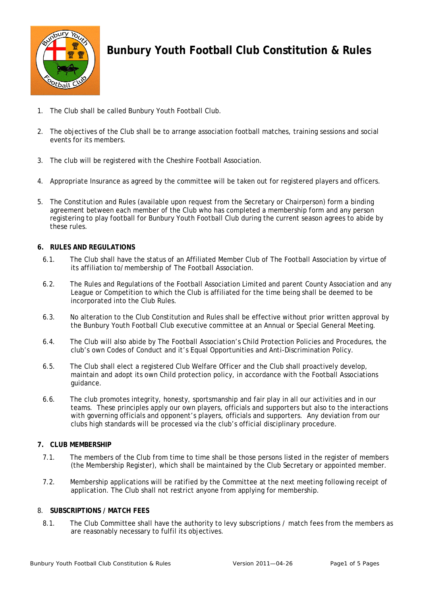

# **Bunbury Youth Football Club Constitution & Rules**

- 1. The Club shall be called Bunbury Youth Football Club.
- 2. The objectives of the Club shall be to arrange association football matches, training sessions and social events for its members.
- 3. The club will be registered with the Cheshire Football Association.
- 4. Appropriate Insurance as agreed by the committee will be taken out for registered players and officers.
- 5. The Constitution and Rules (available upon request from the Secretary or Chairperson) form a binding agreement between each member of the Club who has completed a membership form and any person registering to play football for Bunbury Youth Football Club during the current season agrees to abide by these rules.

## **6. RULES AND REGULATIONS**

- 6.1. The Club shall have the status of an Affiliated Member Club of The Football Association by virtue of its affiliation to/membership of The Football Association.
- 6.2. The Rules and Regulations of the Football Association Limited and parent County Association and any League or Competition to which the Club is affiliated for the time being shall be deemed to be incorporated into the Club Rules.
- 6.3. No alteration to the Club Constitution and Rules shall be effective without prior written approval by the Bunbury Youth Football Club executive committee at an Annual or Special General Meeting.
- 6.4. The Club will also abide by The Football Association's Child Protection Policies and Procedures, the club's own Codes of Conduct and it's Equal Opportunities and Anti-Discrimination Policy.
- 6.5. The Club shall elect a registered Club Welfare Officer and the Club shall proactively develop, maintain and adopt its own Child protection policy, in accordance with the Football Associations guidance.
- 6.6. The club promotes integrity, honesty, sportsmanship and fair play in all our activities and in our teams. These principles apply our own players, officials and supporters but also to the interactions with governing officials and opponent's players, officials and supporters. Any deviation from our clubs high standards will be processed via the club's official disciplinary procedure.

## **7. CLUB MEMBERSHIP**

- 7.1. The members of the Club from time to time shall be those persons listed in the register of members (the Membership Register), which shall be maintained by the Club Secretary or appointed member.
- 7.2. Membership applications will be ratified by the Committee at the next meeting following receipt of application. The Club shall not restrict anyone from applying for membership.

## 8. **SUBSCRIPTIONS / MATCH FEES**

8.1. The Club Committee shall have the authority to levy subscriptions / match fees from the members as are reasonably necessary to fulfil its objectives.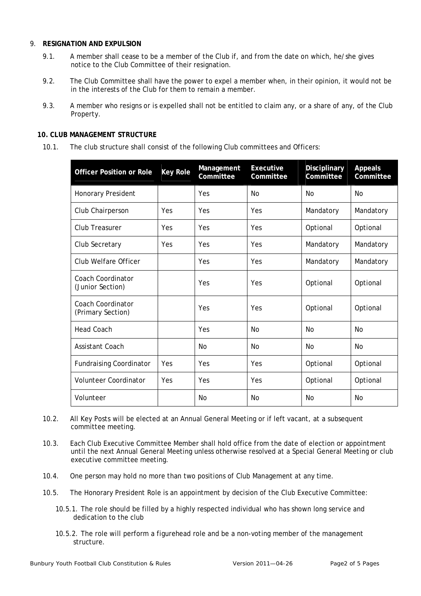#### 9. **RESIGNATION AND EXPULSION**

- 9.1. A member shall cease to be a member of the Club if, and from the date on which, he/she gives notice to the Club Committee of their resignation.
- 9.2. The Club Committee shall have the power to expel a member when, in their opinion, it would not be in the interests of the Club for them to remain a member.
- 9.3. A member who resigns or is expelled shall not be entitled to claim any, or a share of any, of the Club Property.

## **10. CLUB MANAGEMENT STRUCTURE**

10.1. The club structure shall consist of the following Club committees and Officers:

| <b>Officer Position or Role</b>               | <b>Key Role</b> | Management<br>Committee | <b>Executive</b><br><b>Committee</b> | <b>Disciplinary</b><br>Committee | <b>Appeals</b><br>Committee |
|-----------------------------------------------|-----------------|-------------------------|--------------------------------------|----------------------------------|-----------------------------|
| Honorary President                            |                 | Yes                     | No                                   | No                               | No                          |
| Club Chairperson                              | Yes             | Yes                     | Yes                                  | Mandatory                        | Mandatory                   |
| Club Treasurer                                | Yes             | Yes                     | Yes                                  | Optional                         | Optional                    |
| Club Secretary                                | Yes             | Yes                     | Yes                                  | Mandatory                        | Mandatory                   |
| Club Welfare Officer                          |                 | Yes                     | Yes                                  | Mandatory                        | Mandatory                   |
| <b>Coach Coordinator</b><br>(Junior Section)  |                 | Yes                     | Yes                                  | Optional                         | Optional                    |
| <b>Coach Coordinator</b><br>(Primary Section) |                 | Yes                     | Yes                                  | Optional                         | Optional                    |
| <b>Head Coach</b>                             |                 | Yes                     | <b>No</b>                            | <b>No</b>                        | No                          |
| Assistant Coach                               |                 | <b>No</b>               | No                                   | <b>No</b>                        | N <sub>0</sub>              |
| <b>Fundraising Coordinator</b>                | Yes             | Yes                     | Yes                                  | Optional                         | Optional                    |
| Volunteer Coordinator                         | Yes             | Yes                     | Yes                                  | Optional                         | Optional                    |
| Volunteer                                     |                 | No                      | No                                   | <b>No</b>                        | No                          |

- 10.2. All Key Posts will be elected at an Annual General Meeting or if left vacant, at a subsequent committee meeting.
- 10.3. Each Club Executive Committee Member shall hold office from the date of election or appointment until the next Annual General Meeting unless otherwise resolved at a Special General Meeting or club executive committee meeting.
- 10.4. One person may hold no more than two positions of Club Management at any time.
- 10.5. The Honorary President Role is an appointment by decision of the Club Executive Committee:
	- 10.5.1. The role should be filled by a highly respected individual who has shown long service and dedication to the club
	- 10.5.2. The role will perform a figurehead role and be a non-voting member of the management structure.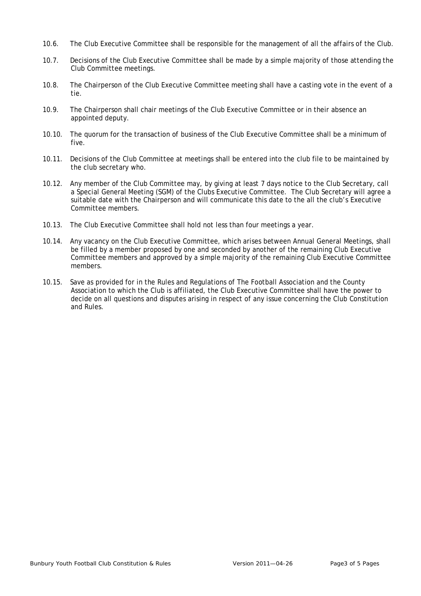- 10.6. The Club Executive Committee shall be responsible for the management of all the affairs of the Club.
- 10.7. Decisions of the Club Executive Committee shall be made by a simple majority of those attending the Club Committee meetings.
- 10.8. The Chairperson of the Club Executive Committee meeting shall have a casting vote in the event of a tie.
- 10.9. The Chairperson shall chair meetings of the Club Executive Committee or in their absence an appointed deputy.
- 10.10. The quorum for the transaction of business of the Club Executive Committee shall be a minimum of five.
- 10.11. Decisions of the Club Committee at meetings shall be entered into the club file to be maintained by the club secretary who.
- 10.12. Any member of the Club Committee may, by giving at least 7 days notice to the Club Secretary, call a Special General Meeting (SGM) of the Clubs Executive Committee. The Club Secretary will agree a suitable date with the Chairperson and will communicate this date to the all the club's Executive Committee members.
- 10.13. The Club Executive Committee shall hold not less than four meetings a year.
- 10.14. Any vacancy on the Club Executive Committee, which arises between Annual General Meetings, shall be filled by a member proposed by one and seconded by another of the remaining Club Executive Committee members and approved by a simple majority of the remaining Club Executive Committee members.
- 10.15. Save as provided for in the Rules and Regulations of The Football Association and the County Association to which the Club is affiliated, the Club Executive Committee shall have the power to decide on all questions and disputes arising in respect of any issue concerning the Club Constitution and Rules.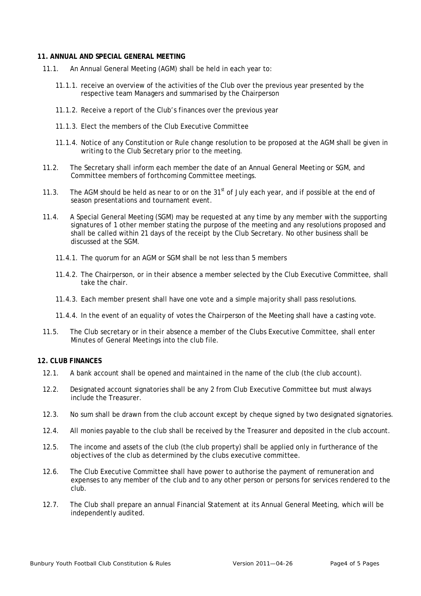#### **11. ANNUAL AND SPECIAL GENERAL MEETING**

- 11.1. An Annual General Meeting (AGM) shall be held in each year to:
	- 11.1.1. receive an overview of the activities of the Club over the previous year presented by the respective team Managers and summarised by the Chairperson
	- 11.1.2. Receive a report of the Club's finances over the previous year
	- 11.1.3. Elect the members of the Club Executive Committee
	- 11.1.4. Notice of any Constitution or Rule change resolution to be proposed at the AGM shall be given in writing to the Club Secretary prior to the meeting.
- 11.2. The Secretary shall inform each member the date of an Annual General Meeting or SGM, and Committee members of forthcoming Committee meetings.
- 11.3. The AGM should be held as near to or on the  $31<sup>st</sup>$  of July each year, and if possible at the end of season presentations and tournament event.
- 11.4. A Special General Meeting (SGM) may be requested at any time by any member with the supporting signatures of 1 other member stating the purpose of the meeting and any resolutions proposed and shall be called within 21 days of the receipt by the Club Secretary. No other business shall be discussed at the SGM.
	- 11.4.1. The quorum for an AGM or SGM shall be not less than 5 members
	- 11.4.2. The Chairperson, or in their absence a member selected by the Club Executive Committee, shall take the chair.
	- 11.4.3. Each member present shall have one vote and a simple majority shall pass resolutions.
	- 11.4.4. In the event of an equality of votes the Chairperson of the Meeting shall have a casting vote.
- 11.5. The Club secretary or in their absence a member of the Clubs Executive Committee, shall enter Minutes of General Meetings into the club file.

## **12. CLUB FINANCES**

- 12.1. A bank account shall be opened and maintained in the name of the club (the club account).
- 12.2. Designated account signatories shall be any 2 from Club Executive Committee but must always include the Treasurer.
- 12.3. No sum shall be drawn from the club account except by cheque signed by two designated signatories.
- 12.4. All monies payable to the club shall be received by the Treasurer and deposited in the club account.
- 12.5. The income and assets of the club (the club property) shall be applied only in furtherance of the objectives of the club as determined by the clubs executive committee.
- 12.6. The Club Executive Committee shall have power to authorise the payment of remuneration and expenses to any member of the club and to any other person or persons for services rendered to the club.
- 12.7. The Club shall prepare an annual Financial Statement at its Annual General Meeting, which will be independently audited.